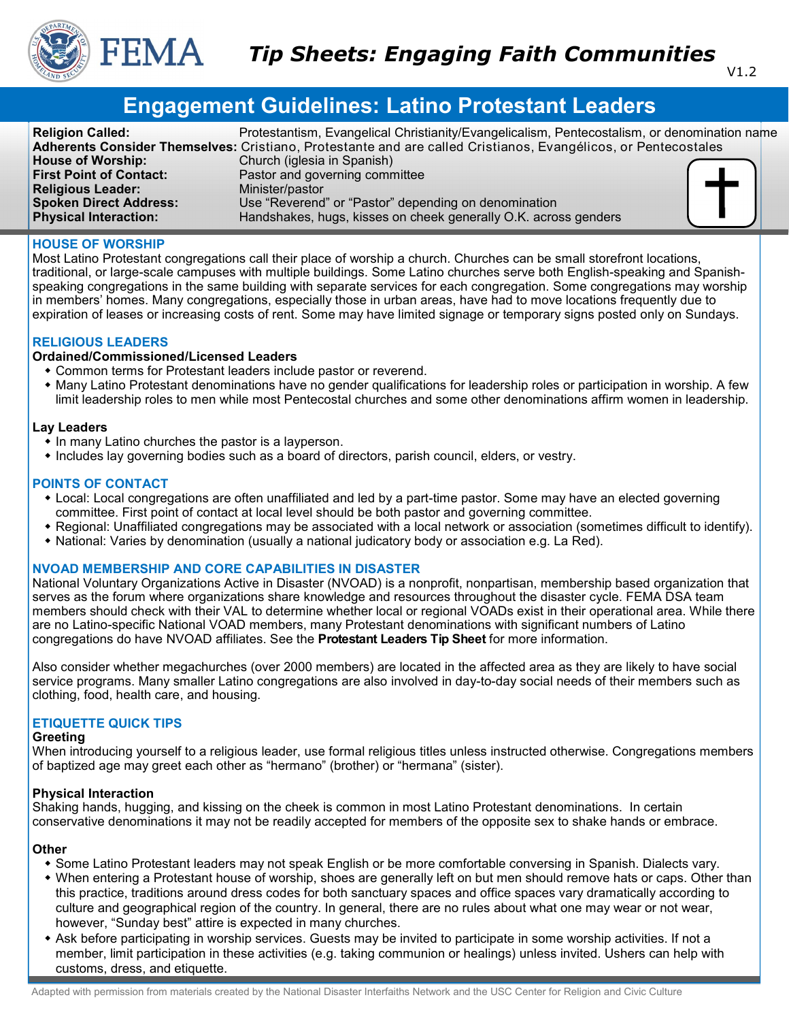

# **Engagement Guidelines: Latino Protestant Leaders**

| <b>Religion Called:</b>        | Protestantism, Evangelical Christianity/Evangelicalism, Pentecostalism, or denomination name                   |  |
|--------------------------------|----------------------------------------------------------------------------------------------------------------|--|
|                                | Adherents Consider Themselves: Cristiano, Protestante and are called Cristianos, Evangélicos, or Pentecostales |  |
| <b>House of Worship:</b>       | Church (iglesia in Spanish)                                                                                    |  |
| <b>First Point of Contact:</b> | Pastor and governing committee                                                                                 |  |
| <b>Religious Leader:</b>       | Minister/pastor                                                                                                |  |
| <b>Spoken Direct Address:</b>  | Use "Reverend" or "Pastor" depending on denomination                                                           |  |
| <b>Physical Interaction:</b>   | Handshakes, hugs, kisses on cheek generally O.K. across genders                                                |  |

#### **HOUSE OF WORSHIP**

Most Latino Protestant congregations call their place of worship a church. Churches can be small storefront locations, traditional, or large-scale campuses with multiple buildings. Some Latino churches serve both English-speaking and Spanishspeaking congregations in the same building with separate services for each congregation. Some congregations may worship in members' homes. Many congregations, especially those in urban areas, have had to move locations frequently due to expiration of leases or increasing costs of rent. Some may have limited signage or temporary signs posted only on Sundays.

## **RELIGIOUS LEADERS**

## **Ordained/Commissioned/Licensed Leaders**

- Common terms for Protestant leaders include pastor or reverend.
- Many Latino Protestant denominations have no gender qualifications for leadership roles or participation in worship. A few limit leadership roles to men while most Pentecostal churches and some other denominations affirm women in leadership.

#### **Lay Leaders**

- In many Latino churches the pastor is a layperson.
- Includes lay governing bodies such as a board of directors, parish council, elders, or vestry.

#### **POINTS OF CONTACT**

- Local: Local congregations are often unaffiliated and led by a part-time pastor. Some may have an elected governing committee. First point of contact at local level should be both pastor and governing committee.
- Regional: Unaffiliated congregations may be associated with a local network or association (sometimes difficult to identify).
- National: Varies by denomination (usually a national judicatory body or association e.g. La Red).

## **NVOAD MEMBERSHIP AND CORE CAPABILITIES IN DISASTER**

National Voluntary Organizations Active in Disaster (NVOAD) is a nonprofit, nonpartisan, membership based organization that serves as the forum where organizations share knowledge and resources throughout the disaster cycle. FEMA DSA team members should check with their VAL to determine whether local or regional VOADs exist in their operational area. While there are no Latino-specific National VOAD members, many Protestant denominations with significant numbers of Latino congregations do have NVOAD affiliates. See the **Protestant Leaders Tip Sheet** for more information.

Also consider whether megachurches (over 2000 members) are located in the affected area as they are likely to have social service programs. Many smaller Latino congregations are also involved in day-to-day social needs of their members such as clothing, food, health care, and housing.

# **ETIQUETTE QUICK TIPS**

#### **Greeting**

When introducing yourself to a religious leader, use formal religious titles unless instructed otherwise. Congregations members of baptized age may greet each other as "hermano" (brother) or "hermana" (sister).

#### **Physical Interaction**

Shaking hands, hugging, and kissing on the cheek is common in most Latino Protestant denominations. In certain conservative denominations it may not be readily accepted for members of the opposite sex to shake hands or embrace.

## **Other**

- Some Latino Protestant leaders may not speak English or be more comfortable conversing in Spanish. Dialects vary.
- When entering a Protestant house of worship, shoes are generally left on but men should remove hats or caps. Other than this practice, traditions around dress codes for both sanctuary spaces and office spaces vary dramatically according to culture and geographical region of the country. In general, there are no rules about what one may wear or not wear, however, "Sunday best" attire is expected in many churches.
- Ask before participating in worship services. Guests may be invited to participate in some worship activities. If not a member, limit participation in these activities (e.g. taking communion or healings) unless invited. Ushers can help with customs, dress, and etiquette.